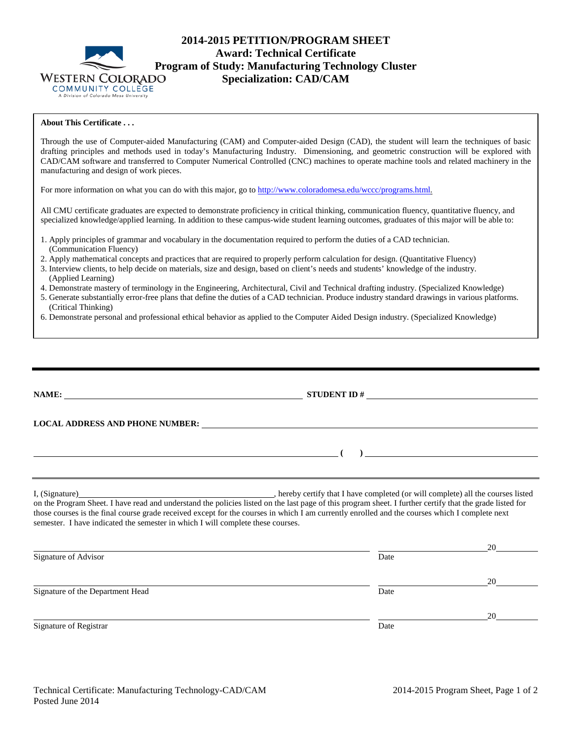

# **2014-2015 PETITION/PROGRAM SHEET Award: Technical Certificate Program of Study: Manufacturing Technology Cluster**<br>WESTERN COLORADO **Specialization: CAD/CAM Specialization: CAD/CAM**

### **About This Certificate . . .**

Through the use of Computer-aided Manufacturing (CAM) and Computer-aided Design (CAD), the student will learn the techniques of basic drafting principles and methods used in today's Manufacturing Industry. Dimensioning, and geometric construction will be explored with CAD/CAM software and transferred to Computer Numerical Controlled (CNC) machines to operate machine tools and related machinery in the manufacturing and design of work pieces.

For more information on what you can do with this major, go to [http://www.coloradomesa.edu/wccc/programs.html.](http://www.coloradomesa.edu/wccc/programs.html)

All CMU certificate graduates are expected to demonstrate proficiency in critical thinking, communication fluency, quantitative fluency, and specialized knowledge/applied learning. In addition to these campus-wide student learning outcomes, graduates of this major will be able to:

- 1. Apply principles of grammar and vocabulary in the documentation required to perform the duties of a CAD technician. (Communication Fluency)
- 2. Apply mathematical concepts and practices that are required to properly perform calculation for design. (Quantitative Fluency)
- 3. Interview clients, to help decide on materials, size and design, based on client's needs and students' knowledge of the industry. (Applied Learning)
- 4. Demonstrate mastery of terminology in the Engineering, Architectural, Civil and Technical drafting industry. (Specialized Knowledge)
- 5. Generate substantially error-free plans that define the duties of a CAD technician. Produce industry standard drawings in various platforms. (Critical Thinking)
- 6. Demonstrate personal and professional ethical behavior as applied to the Computer Aided Design industry. (Specialized Knowledge)

|                                                                                                                                                                                                                                   | ) and the contract of the contract of $\mathcal{L}$ |        |  |  |  |
|-----------------------------------------------------------------------------------------------------------------------------------------------------------------------------------------------------------------------------------|-----------------------------------------------------|--------|--|--|--|
| those courses is the final course grade received except for the courses in which I am currently enrolled and the courses which I complete next<br>semester. I have indicated the semester in which I will complete these courses. |                                                     |        |  |  |  |
| Signature of Advisor                                                                                                                                                                                                              | Date                                                | $20 -$ |  |  |  |
| Signature of the Department Head                                                                                                                                                                                                  | Date                                                | 20     |  |  |  |
| Signature of Registrar                                                                                                                                                                                                            | Date                                                | 20     |  |  |  |